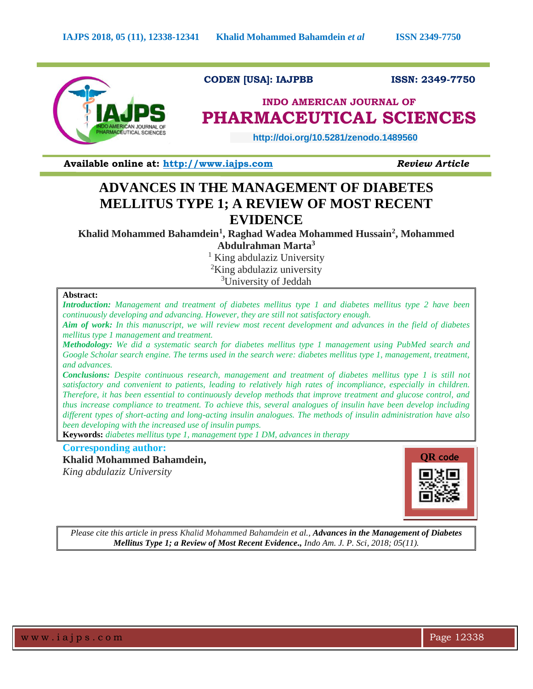

**CODEN [USA]: IAJPBB ISSN: 2349-7750** 

# **INDO AMERICAN JOURNAL OF PHARMACEUTICAL SCIENCES**

 **http://doi.org/10.5281/zenodo.1489560** 

**Available online at: [http://www.iajps.com](http://www.iajps.com/)** *Review Article*

# **ADVANCES IN THE MANAGEMENT OF DIABETES MELLITUS TYPE 1; A REVIEW OF MOST RECENT EVIDENCE**

**Khalid Mohammed Bahamdein<sup>1</sup> , Raghad Wadea Mohammed Hussain<sup>2</sup> , Mohammed Abdulrahman Marta<sup>3</sup>**

> <sup>1</sup> King abdulaziz University <sup>2</sup>King abdulaziz university <sup>3</sup>University of Jeddah

# **Abstract:**

*Introduction: Management and treatment of diabetes mellitus type 1 and diabetes mellitus type 2 have been continuously developing and advancing. However, they are still not satisfactory enough.*

*Aim of work: In this manuscript, we will review most recent development and advances in the field of diabetes mellitus type 1 management and treatment.*

*Methodology: We did a systematic search for diabetes mellitus type 1 management using PubMed search and Google Scholar search engine. The terms used in the search were: diabetes mellitus type 1, management, treatment, and advances.*

*Conclusions: Despite continuous research, management and treatment of diabetes mellitus type 1 is still not satisfactory and convenient to patients, leading to relatively high rates of incompliance, especially in children. Therefore, it has been essential to continuously develop methods that improve treatment and glucose control, and thus increase compliance to treatment. To achieve this, several analogues of insulin have been develop including different types of short-acting and long-acting insulin analogues. The methods of insulin administration have also been developing with the increased use of insulin pumps.*

**Keywords:** *diabetes mellitus type 1, management type 1 DM, advances in therapy*

# **Corresponding author:**

# **Khalid Mohammed Bahamdein,**

*King abdulaziz University*



*Please cite this article in press Khalid Mohammed Bahamdein et al., Advances in the Management of Diabetes Mellitus Type 1; a Review of Most Recent Evidence., Indo Am. J. P. Sci, 2018; 05(11).*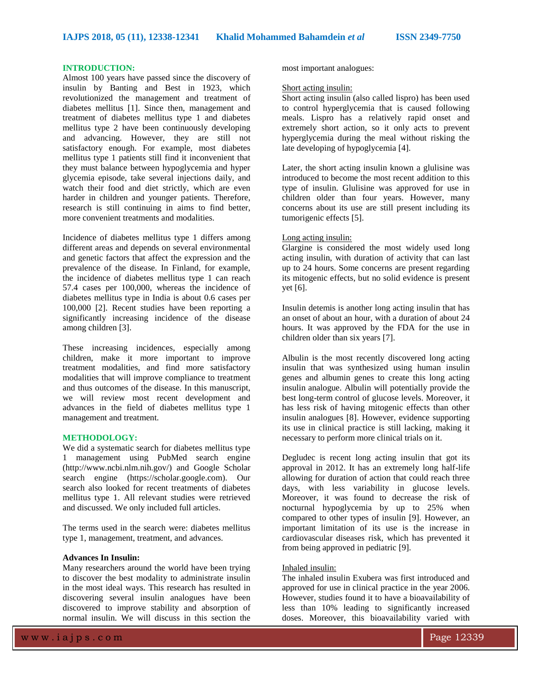# **INTRODUCTION:**

Almost 100 years have passed since the discovery of insulin by Banting and Best in 1923, which revolutionized the management and treatment of diabetes mellitus [1]. Since then, management and treatment of diabetes mellitus type 1 and diabetes mellitus type 2 have been continuously developing and advancing. However, they are still not satisfactory enough. For example, most diabetes mellitus type 1 patients still find it inconvenient that they must balance between hypoglycemia and hyper glycemia episode, take several injections daily, and watch their food and diet strictly, which are even harder in children and younger patients. Therefore, research is still continuing in aims to find better, more convenient treatments and modalities.

Incidence of diabetes mellitus type 1 differs among different areas and depends on several environmental and genetic factors that affect the expression and the prevalence of the disease. In Finland, for example, the incidence of diabetes mellitus type 1 can reach 57.4 cases per 100,000, whereas the incidence of diabetes mellitus type in India is about 0.6 cases per 100,000 [2]. Recent studies have been reporting a significantly increasing incidence of the disease among children [3].

These increasing incidences, especially among children, make it more important to improve treatment modalities, and find more satisfactory modalities that will improve compliance to treatment and thus outcomes of the disease. In this manuscript, we will review most recent development and advances in the field of diabetes mellitus type 1 management and treatment.

# **METHODOLOGY:**

We did a systematic search for diabetes mellitus type 1 management using PubMed search engine (http://www.ncbi.nlm.nih.gov/) and Google Scholar search engine (https://scholar.google.com). Our search also looked for recent treatments of diabetes mellitus type 1. All relevant studies were retrieved and discussed. We only included full articles.

The terms used in the search were: diabetes mellitus type 1, management, treatment, and advances.

## **Advances In Insulin:**

Many researchers around the world have been trying to discover the best modality to administrate insulin in the most ideal ways. This research has resulted in discovering several insulin analogues have been discovered to improve stability and absorption of normal insulin. We will discuss in this section the

most important analogues:

#### Short acting insulin:

Short acting insulin (also called lispro) has been used to control hyperglycemia that is caused following meals. Lispro has a relatively rapid onset and extremely short action, so it only acts to prevent hyperglycemia during the meal without risking the late developing of hypoglycemia [4].

Later, the short acting insulin known a glulisine was introduced to become the most recent addition to this type of insulin. Glulisine was approved for use in children older than four years. However, many concerns about its use are still present including its tumorigenic effects [5].

#### Long acting insulin:

Glargine is considered the most widely used long acting insulin, with duration of activity that can last up to 24 hours. Some concerns are present regarding its mitogenic effects, but no solid evidence is present yet [6].

Insulin detemis is another long acting insulin that has an onset of about an hour, with a duration of about 24 hours. It was approved by the FDA for the use in children older than six years [7].

Albulin is the most recently discovered long acting insulin that was synthesized using human insulin genes and albumin genes to create this long acting insulin analogue. Albulin will potentially provide the best long-term control of glucose levels. Moreover, it has less risk of having mitogenic effects than other insulin analogues [8]. However, evidence supporting its use in clinical practice is still lacking, making it necessary to perform more clinical trials on it.

Degludec is recent long acting insulin that got its approval in 2012. It has an extremely long half-life allowing for duration of action that could reach three days, with less variability in glucose levels. Moreover, it was found to decrease the risk of nocturnal hypoglycemia by up to 25% when compared to other types of insulin [9]. However, an important limitation of its use is the increase in cardiovascular diseases risk, which has prevented it from being approved in pediatric [9].

#### Inhaled insulin:

The inhaled insulin Exubera was first introduced and approved for use in clinical practice in the year 2006. However, studies found it to have a bioavailability of less than 10% leading to significantly increased doses. Moreover, this bioavailability varied with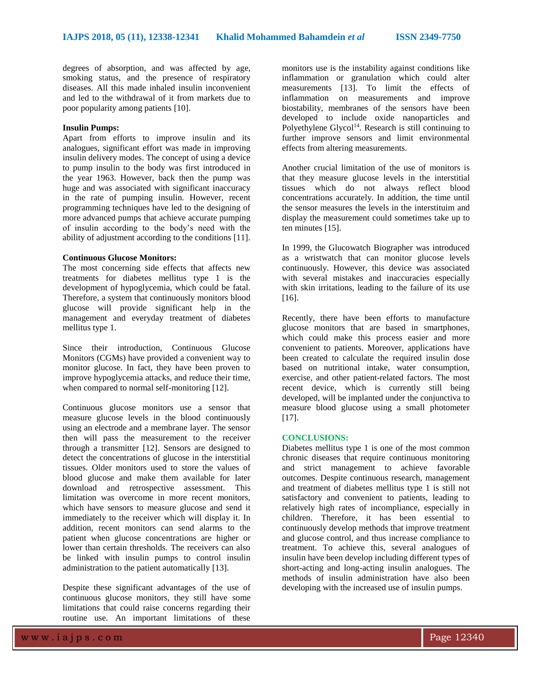degrees of absorption, and was affected by age, smoking status, and the presence of respiratory diseases. All this made inhaled insulin inconvenient and led to the withdrawal of it from markets due to poor popularity among patients [10].

#### **Insulin Pumps:**

Apart from efforts to improve insulin and its analogues, significant effort was made in improving insulin delivery modes. The concept of using a device to pump insulin to the body was first introduced in the year 1963. However, back then the pump was huge and was associated with significant inaccuracy in the rate of pumping insulin. However, recent programming techniques have led to the designing of more advanced pumps that achieve accurate pumping of insulin according to the body's need with the ability of adjustment according to the conditions [11].

## **Continuous Glucose Monitors:**

The most concerning side effects that affects new treatments for diabetes mellitus type 1 is the development of hypoglycemia, which could be fatal. Therefore, a system that continuously monitors blood glucose will provide significant help in the management and everyday treatment of diabetes mellitus type 1.

Since their introduction, Continuous Glucose Monitors (CGMs) have provided a convenient way to monitor glucose. In fact, they have been proven to improve hypoglycemia attacks, and reduce their time, when compared to normal self-monitoring [12].

Continuous glucose monitors use a sensor that measure glucose levels in the blood continuously using an electrode and a membrane layer. The sensor then will pass the measurement to the receiver through a transmitter [12]. Sensors are designed to detect the concentrations of glucose in the interstitial tissues. Older monitors used to store the values of blood glucose and make them available for later download and retrospective assessment. This limitation was overcome in more recent monitors, which have sensors to measure glucose and send it immediately to the receiver which will display it. In addition, recent monitors can send alarms to the patient when glucose concentrations are higher or lower than certain thresholds. The receivers can also be linked with insulin pumps to control insulin administration to the patient automatically [13].

Despite these significant advantages of the use of continuous glucose monitors, they still have some limitations that could raise concerns regarding their routine use. An important limitations of these

monitors use is the instability against conditions like inflammation or granulation which could alter measurements [13]. To limit the effects of inflammation on measurements and improve biostability, membranes of the sensors have been developed to include oxide nanoparticles and Polyethylene  $Glycol<sup>14</sup>$ . Research is still continuing to further improve sensors and limit environmental effects from altering measurements.

Another crucial limitation of the use of monitors is that they measure glucose levels in the interstitial tissues which do not always reflect blood concentrations accurately. In addition, the time until the sensor measures the levels in the interstituim and display the measurement could sometimes take up to ten minutes [15].

In 1999, the Glucowatch Biographer was introduced as a wristwatch that can monitor glucose levels continuously. However, this device was associated with several mistakes and inaccuracies especially with skin irritations, leading to the failure of its use [16].

Recently, there have been efforts to manufacture glucose monitors that are based in smartphones, which could make this process easier and more convenient to patients. Moreover, applications have been created to calculate the required insulin dose based on nutritional intake, water consumption, exercise, and other patient-related factors. The most recent device, which is currently still being developed, will be implanted under the conjunctiva to measure blood glucose using a small photometer [17].

### **CONCLUSIONS:**

Diabetes mellitus type 1 is one of the most common chronic diseases that require continuous monitoring and strict management to achieve favorable outcomes. Despite continuous research, management and treatment of diabetes mellitus type 1 is still not satisfactory and convenient to patients, leading to relatively high rates of incompliance, especially in children. Therefore, it has been essential to continuously develop methods that improve treatment and glucose control, and thus increase compliance to treatment. To achieve this, several analogues of insulin have been develop including different types of short-acting and long-acting insulin analogues. The methods of insulin administration have also been developing with the increased use of insulin pumps.